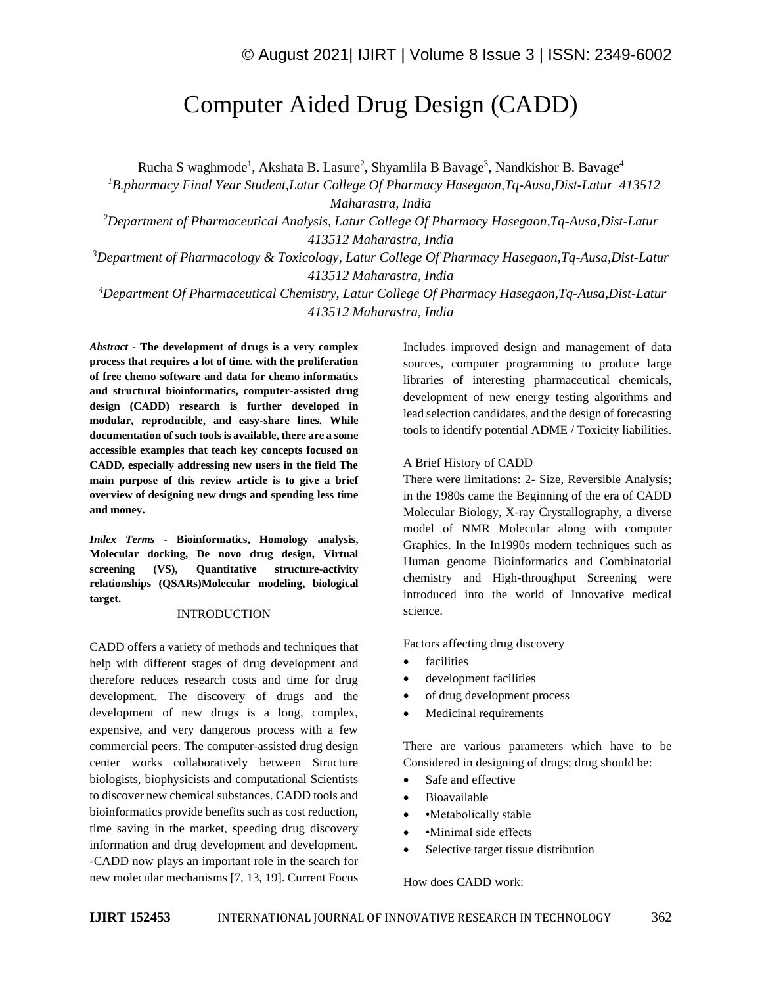# Computer Aided Drug Design (CADD)

Rucha S waghmode<sup>1</sup>, Akshata B. Lasure<sup>2</sup>, Shyamlila B Bavage<sup>3</sup>, Nandkishor B. Bavage<sup>4</sup>

*<sup>1</sup>B.pharmacy Final Year Student,Latur College Of Pharmacy Hasegaon,Tq-Ausa,Dist-Latur 413512 Maharastra, India*

*<sup>2</sup>Department of Pharmaceutical Analysis, Latur College Of Pharmacy Hasegaon,Tq-Ausa,Dist-Latur 413512 Maharastra, India*

*<sup>3</sup>Department of Pharmacology & Toxicology, Latur College Of Pharmacy Hasegaon,Tq-Ausa,Dist-Latur 413512 Maharastra, India*

*<sup>4</sup>Department Of Pharmaceutical Chemistry, Latur College Of Pharmacy Hasegaon,Tq-Ausa,Dist-Latur 413512 Maharastra, India*

*Abstract -* **The development of drugs is a very complex process that requires a lot of time. with the proliferation of free chemo software and data for chemo informatics and structural bioinformatics, computer-assisted drug design (CADD) research is further developed in modular, reproducible, and easy-share lines. While documentation of such tools is available, there are a some accessible examples that teach key concepts focused on CADD, especially addressing new users in the field The main purpose of this review article is to give a brief overview of designing new drugs and spending less time and money.**

*Index Terms -* **Bioinformatics, Homology analysis, Molecular docking, De novo drug design, Virtual screening (VS), Quantitative structure-activity relationships (QSARs)Molecular modeling, biological target.**

#### INTRODUCTION

CADD offers a variety of methods and techniques that help with different stages of drug development and therefore reduces research costs and time for drug development. The discovery of drugs and the development of new drugs is a long, complex, expensive, and very dangerous process with a few commercial peers. The computer-assisted drug design center works collaboratively between Structure biologists, biophysicists and computational Scientists to discover new chemical substances. CADD tools and bioinformatics provide benefits such as cost reduction, time saving in the market, speeding drug discovery information and drug development and development. -CADD now plays an important role in the search for new molecular mechanisms [7, 13, 19]. Current Focus Includes improved design and management of data sources, computer programming to produce large libraries of interesting pharmaceutical chemicals, development of new energy testing algorithms and lead selection candidates, and the design of forecasting tools to identify potential ADME / Toxicity liabilities.

#### A Brief History of CADD

There were limitations: 2- Size, Reversible Analysis; in the 1980s came the Beginning of the era of CADD Molecular Biology, X-ray Crystallography, a diverse model of NMR Molecular along with computer Graphics. In the In1990s modern techniques such as Human genome Bioinformatics and Combinatorial chemistry and High-throughput Screening were introduced into the world of Innovative medical science.

Factors affecting drug discovery

- facilities
- development facilities
- of drug development process
- Medicinal requirements

There are various parameters which have to be Considered in designing of drugs; drug should be:

- Safe and effective
- Bioavailable
- •Metabolically stable
- • Minimal side effects
- Selective target tissue distribution

How does CADD work: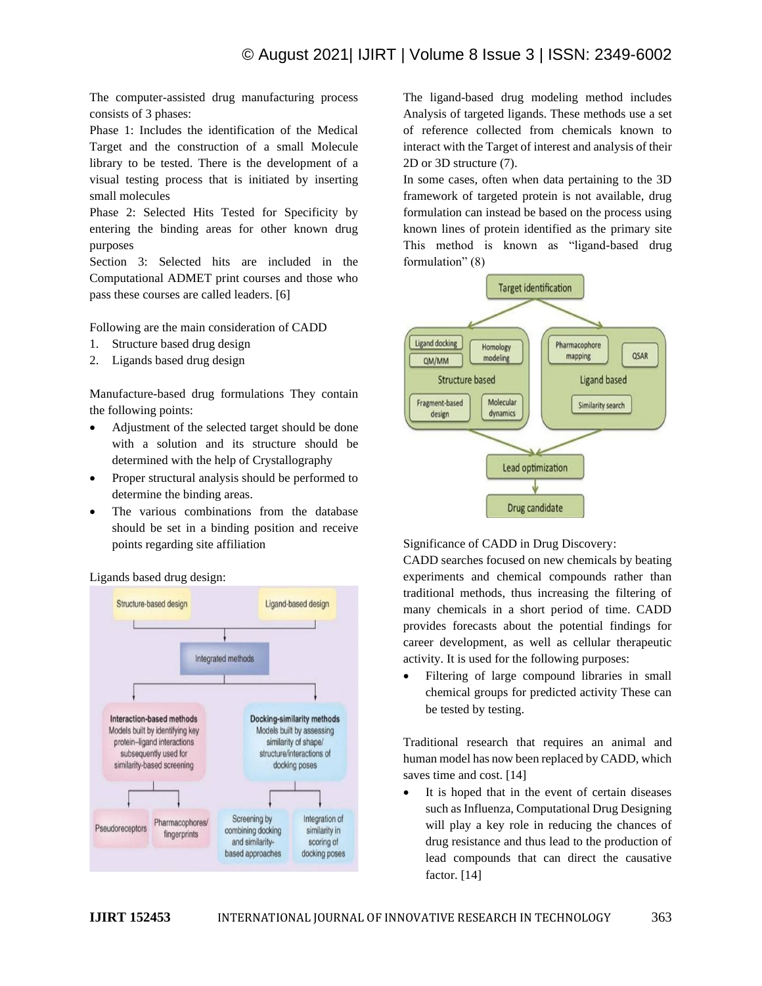The computer-assisted drug manufacturing process consists of 3 phases:

Phase 1: Includes the identification of the Medical Target and the construction of a small Molecule library to be tested. There is the development of a visual testing process that is initiated by inserting small molecules

Phase 2: Selected Hits Tested for Specificity by entering the binding areas for other known drug purposes

Section 3: Selected hits are included in the Computational ADMET print courses and those who pass these courses are called leaders. [6]

Following are the main consideration of CADD

- 1. Structure based drug design
- 2. Ligands based drug design

Manufacture-based drug formulations They contain the following points:

- Adjustment of the selected target should be done with a solution and its structure should be determined with the help of Crystallography
- Proper structural analysis should be performed to determine the binding areas.
- The various combinations from the database should be set in a binding position and receive points regarding site affiliation



Ligands based drug design:

The ligand-based drug modeling method includes Analysis of targeted ligands. These methods use a set of reference collected from chemicals known to interact with the Target of interest and analysis of their 2D or 3D structure (7).

In some cases, often when data pertaining to the 3D framework of targeted protein is not available, drug formulation can instead be based on the process using known lines of protein identified as the primary site This method is known as "ligand-based drug formulation" (8)



Significance of CADD in Drug Discovery:

CADD searches focused on new chemicals by beating experiments and chemical compounds rather than traditional methods, thus increasing the filtering of many chemicals in a short period of time. CADD provides forecasts about the potential findings for career development, as well as cellular therapeutic activity. It is used for the following purposes:

• Filtering of large compound libraries in small chemical groups for predicted activity These can be tested by testing.

Traditional research that requires an animal and human model has now been replaced by CADD, which saves time and cost. [14]

It is hoped that in the event of certain diseases such as Influenza, Computational Drug Designing will play a key role in reducing the chances of drug resistance and thus lead to the production of lead compounds that can direct the causative factor. [14]